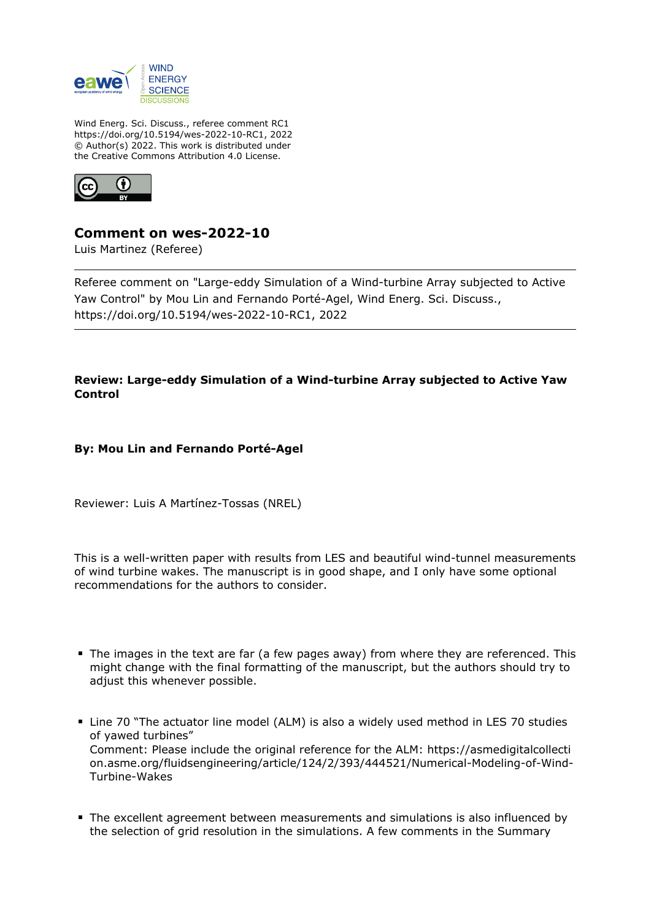

Wind Energ. Sci. Discuss., referee comment RC1 https://doi.org/10.5194/wes-2022-10-RC1, 2022 © Author(s) 2022. This work is distributed under the Creative Commons Attribution 4.0 License.



## **Comment on wes-2022-10**

Luis Martinez (Referee)

Referee comment on "Large-eddy Simulation of a Wind-turbine Array subjected to Active Yaw Control" by Mou Lin and Fernando Porté-Agel, Wind Energ. Sci. Discuss., https://doi.org/10.5194/wes-2022-10-RC1, 2022

## **Review: Large-eddy Simulation of a Wind-turbine Array subjected to Active Yaw Control**

**By: Mou Lin and Fernando Porté-Agel**

Reviewer: Luis A Martínez-Tossas (NREL)

This is a well-written paper with results from LES and beautiful wind-tunnel measurements of wind turbine wakes. The manuscript is in good shape, and I only have some optional recommendations for the authors to consider.

- The images in the text are far (a few pages away) from where they are referenced. This might change with the final formatting of the manuscript, but the authors should try to adjust this whenever possible.
- Line 70 "The actuator line model (ALM) is also a widely used method in LES 70 studies of yawed turbines" Comment: Please include the original reference for the ALM: https://asmedigitalcollecti on.asme.org/fluidsengineering/article/124/2/393/444521/Numerical-Modeling-of-Wind-Turbine-Wakes
- The excellent agreement between measurements and simulations is also influenced by the selection of grid resolution in the simulations. A few comments in the Summary